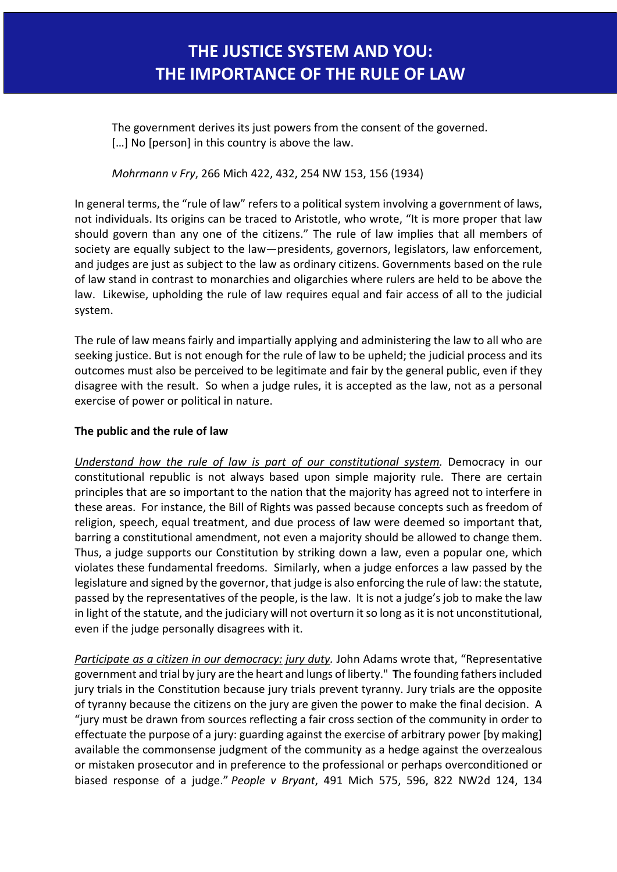The government derives its just powers from the consent of the governed. [...] No [person] in this country is above the law.

#### *Mohrmann v Fry*, 266 Mich 422, 432, 254 NW 153, 156 (1934)

In general terms, the "rule of law" refers to a political system involving a government of laws, not individuals. Its origins can be traced to Aristotle, who wrote, "It is more proper that law should govern than any one of the citizens." The rule of law implies that all members of society are equally subject to the law—presidents, governors, legislators, law enforcement, and judges are just as subject to the law as ordinary citizens. Governments based on the rule of law stand in contrast to monarchies and oligarchies where rulers are held to be above the law. Likewise, upholding the rule of law requires equal and fair access of all to the judicial system.

The rule of law means fairly and impartially applying and administering the law to all who are seeking justice. But is not enough for the rule of law to be upheld; the judicial process and its outcomes must also be perceived to be legitimate and fair by the general public, even if they disagree with the result. So when a judge rules, it is accepted as the law, not as a personal exercise of power or political in nature.

#### **The public and the rule of law**

*Understand how the rule of law is part of our constitutional system.* Democracy in our constitutional republic is not always based upon simple majority rule. There are certain principles that are so important to the nation that the majority has agreed not to interfere in these areas. For instance, the Bill of Rights was passed because concepts such as freedom of religion, speech, equal treatment, and due process of law were deemed so important that, barring a constitutional amendment, not even a majority should be allowed to change them. Thus, a judge supports our Constitution by striking down a law, even a popular one, which violates these fundamental freedoms. Similarly, when a judge enforces a law passed by the legislature and signed by the governor, that judge is also enforcing the rule of law: the statute, passed by the representatives of the people, is the law. It is not a judge's job to make the law in light of the statute, and the judiciary will not overturn it so long as it is not unconstitutional, even if the judge personally disagrees with it.

*Participate as a citizen in our democracy: jury duty.* John Adams wrote that, "Representative government and trial by jury are the heart and lungs of liberty." **T**he founding fathers included jury trials in the Constitution because jury trials prevent tyranny. Jury trials are the opposite of tyranny because the citizens on the jury are given the power to make the final decision. A "jury must be drawn from sources reflecting a fair cross section of the community in order to effectuate the purpose of a jury: guarding against the exercise of arbitrary power [by making] available the commonsense judgment of the community as a hedge against the overzealous or mistaken prosecutor and in preference to the professional or perhaps overconditioned or biased response of a judge." *People v Bryant*, 491 Mich 575, 596, 822 NW2d 124, 134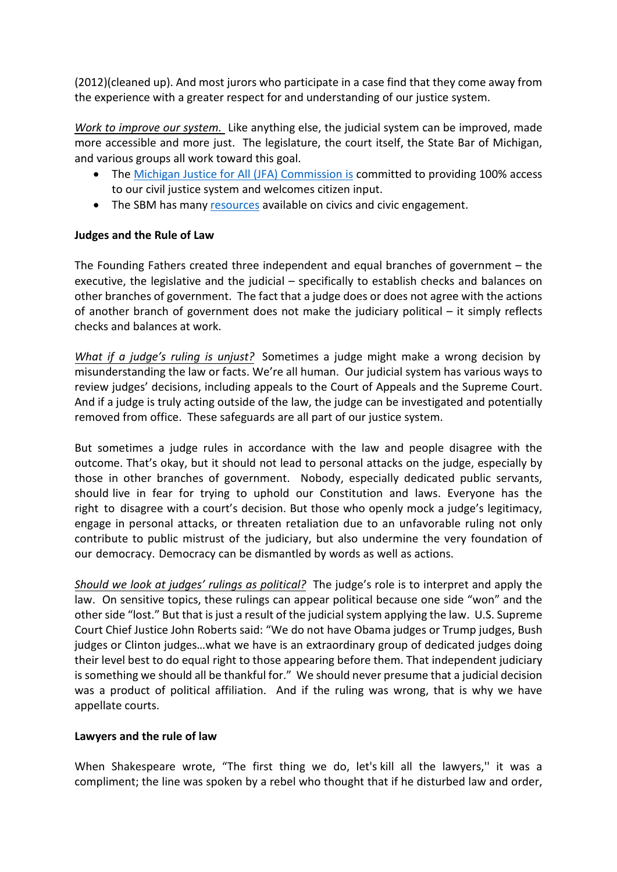(2012)(cleaned up). And most jurors who participate in a case find that they come away from the experience with a greater respect for and understanding of our justice system.

*Work to improve our system.* Like anything else, the judicial system can be improved, made more accessible and more just. The legislature, the court itself, the State Bar of Michigan, and various groups all work toward this goal.

- The Michigan Justice for All (JFA) Commission is committed to providing 100% access to our civil justice system and welcomes citizen input.
- The SBM has many [resources](https://www.michbar.org/generalinfo/lawlinks) available on civics and civic engagement.

# **Judges and the Rule of Law**

The Founding Fathers created three independent and equal branches of government – the executive, the legislative and the judicial – specifically to establish checks and balances on other branches of government. The fact that a judge does or does not agree with the actions of another branch of government does not make the judiciary political – it simply reflects checks and balances at work.

*What if a judge's ruling is unjust?* Sometimes a judge might make a wrong decision by misunderstanding the law or facts. We're all human. Our judicial system has various ways to review judges' decisions, including appeals to the Court of Appeals and the Supreme Court. And if a judge is truly acting outside of the law, the judge can be investigated and potentially removed from office. These safeguards are all part of our justice system.

But sometimes a judge rules in accordance with the law and people disagree with the outcome. That's okay, but it should not lead to personal attacks on the judge, especially by those in other branches of government. Nobody, especially dedicated public servants, should live in fear for trying to uphold our Constitution and laws. Everyone has the right to disagree with a court's decision. But those who openly mock a judge's legitimacy, engage in personal attacks, or threaten retaliation due to an unfavorable ruling not only contribute to public mistrust of the judiciary, but also undermine the very foundation of our democracy. Democracy can be dismantled by words as well as actions.

*Should we look at judges' rulings as political?* The judge's role is to interpret and apply the law. On sensitive topics, these rulings can appear political because one side "won" and the other side "lost." But that is just a result of the judicial system applying the law. U.S. Supreme Court Chief Justice John Roberts said: "We do not have Obama judges or Trump judges, Bush judges or Clinton judges…what we have is an extraordinary group of dedicated judges doing their level best to do equal right to those appearing before them. That independent judiciary is something we should all be thankful for." We should never presume that a judicial decision was a product of political affiliation. And if the ruling was wrong, that is why we have appellate courts.

## **Lawyers and the rule of law**

When Shakespeare wrote, "The first thing we do, let's kill all the lawyers," it was a compliment; the line was spoken by a rebel who thought that if he disturbed law and order,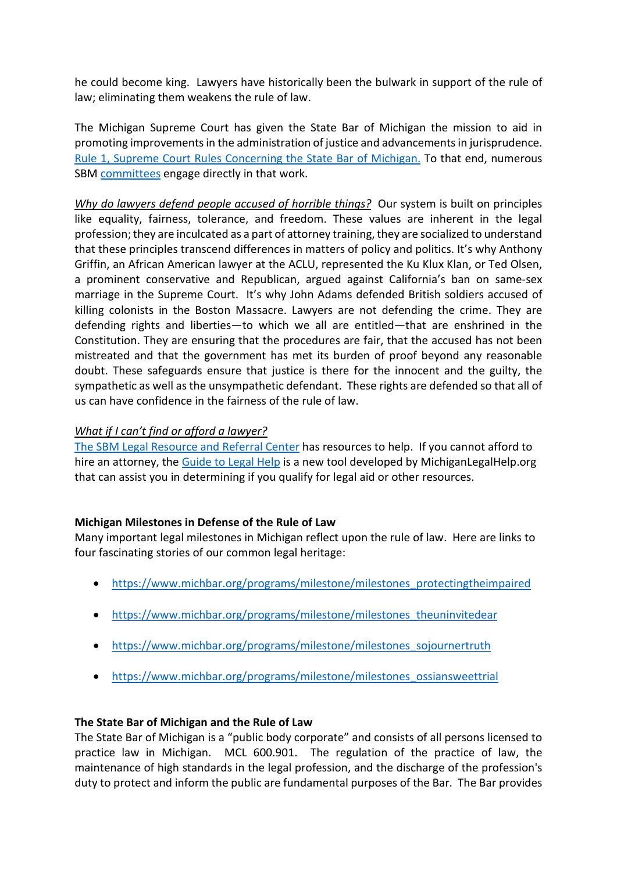he could become king. Lawyers have historically been the bulwark in support of the rule of law; eliminating them weakens the rule of law.

The Michigan Supreme Court has given the State Bar of Michigan the mission to aid in promoting improvements in the administration of justice and advancements in jurisprudence. [Rule 1, Supreme Court Rules Concerning the State Bar of Michigan.](https://courts.michigan.gov/courts/michigansupremecourt/rules/documents/rules%20concerning%20the%20state%20bar%20of%20michigan.pdf) To that end, numerous SBM [committees](https://www.michbar.org/generalinfo/committees) engage directly in that work.

*Why do lawyers defend people accused of horrible things?* Our system is built on principles like equality, fairness, tolerance, and freedom. These values are inherent in the legal profession; they are inculcated as a part of attorney training, they are socialized to understand that these principles transcend differences in matters of policy and politics. It's why Anthony Griffin, an African American lawyer at the ACLU, represented the Ku Klux Klan, or Ted Olsen, a prominent conservative and Republican, argued against California's ban on same-sex marriage in the Supreme Court. It's why John Adams defended British soldiers accused of killing colonists in the Boston Massacre. Lawyers are not defending the crime. They are defending rights and liberties—to which we all are entitled—that are enshrined in the Constitution. They are ensuring that the procedures are fair, that the accused has not been mistreated and that the government has met its burden of proof beyond any reasonable doubt. These safeguards ensure that justice is there for the innocent and the guilty, the sympathetic as well as the unsympathetic defendant. These rights are defended so that all of us can have confidence in the fairness of the rule of law.

# *What if I can't find or afford a lawyer?*

[The SBM Legal Resource and Referral Center](https://lrs.michbar.org/) has resources to help. If you cannot afford to hire an attorney, the [Guide to Legal Help](https://michiganlegalhelp.org/guide-to-legal-help) is a new tool developed by MichiganLegalHelp.org that can assist you in determining if you qualify for legal aid or other resources.

## **Michigan Milestones in Defense of the Rule of Law**

Many important legal milestones in Michigan reflect upon the rule of law. Here are links to four fascinating stories of our common legal heritage:

- [https://www.michbar.org/programs/milestone/milestones\\_protectingtheimpaired](https://www.michbar.org/programs/milestone/milestones_protectingtheimpaired)
- [https://www.michbar.org/programs/milestone/milestones\\_theuninvitedear](https://www.michbar.org/programs/milestone/milestones_theuninvitedear)
- [https://www.michbar.org/programs/milestone/milestones\\_sojournertruth](https://www.michbar.org/programs/milestone/milestones_sojournertruth)
- [https://www.michbar.org/programs/milestone/milestones\\_ossiansweettrial](https://www.michbar.org/programs/milestone/milestones_ossiansweettrial)

## **The State Bar of Michigan and the Rule of Law**

The State Bar of Michigan is a "public body corporate" and consists of all persons licensed to practice law in Michigan. MCL 600.901. The regulation of the practice of law, the maintenance of high standards in the legal profession, and the discharge of the profession's duty to protect and inform the public are fundamental purposes of the Bar. The Bar provides